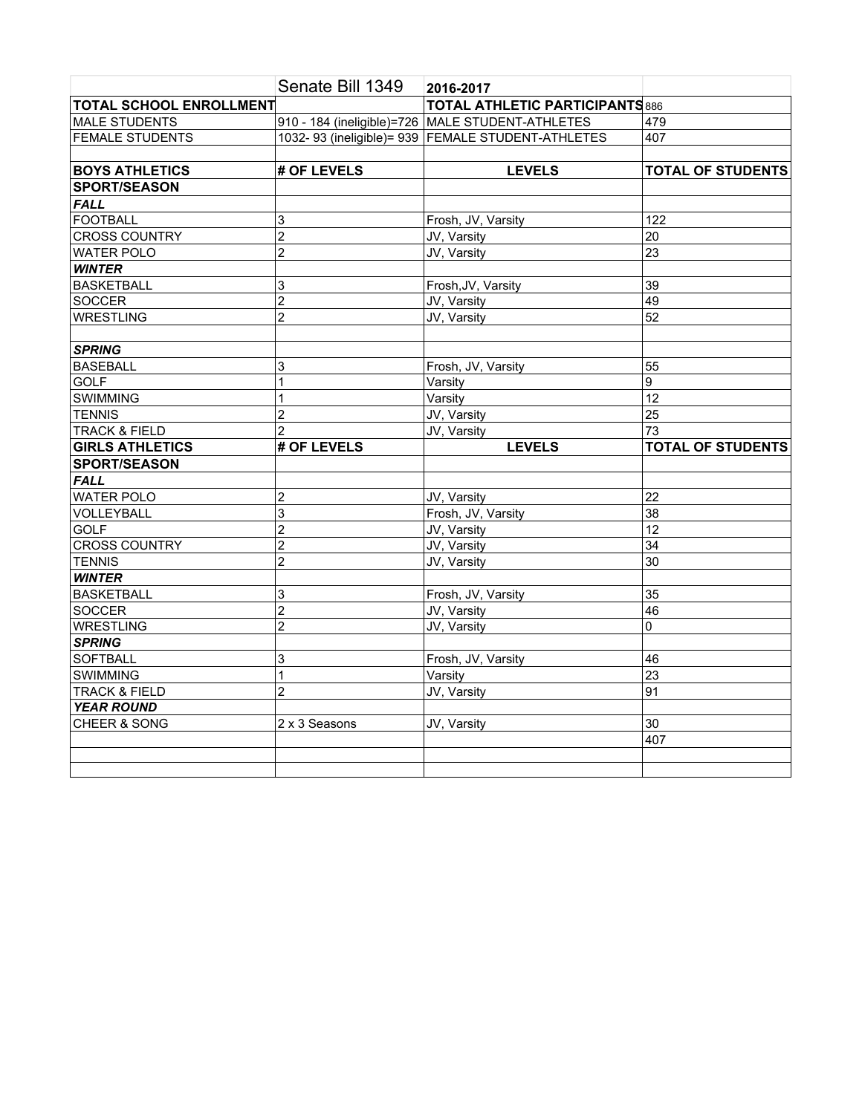|                                | Senate Bill 1349 | 2016-2017                                           |                          |
|--------------------------------|------------------|-----------------------------------------------------|--------------------------|
| <b>TOTAL SCHOOL ENROLLMENT</b> |                  | <b>TOTAL ATHLETIC PARTICIPANTS 886</b>              |                          |
| <b>MALE STUDENTS</b>           |                  | 910 - 184 (ineligible)=726 MALE STUDENT-ATHLETES    | 479                      |
| <b>FEMALE STUDENTS</b>         |                  | 1032- 93 (ineligible) = 939 FEMALE STUDENT-ATHLETES | 407                      |
|                                |                  |                                                     |                          |
| <b>BOYS ATHLETICS</b>          | # OF LEVELS      | <b>LEVELS</b>                                       | <b>TOTAL OF STUDENTS</b> |
| <b>SPORT/SEASON</b>            |                  |                                                     |                          |
| <b>FALL</b>                    |                  |                                                     |                          |
| <b>FOOTBALL</b>                | 3                | Frosh, JV, Varsity                                  | 122                      |
| <b>CROSS COUNTRY</b>           | $\overline{2}$   | JV, Varsity                                         | 20                       |
| <b>WATER POLO</b>              | $\overline{2}$   | JV, Varsity                                         | $\overline{23}$          |
| <b>WINTER</b>                  |                  |                                                     |                          |
| <b>BASKETBALL</b>              | 3                | Frosh, JV, Varsity                                  | 39                       |
| SOCCER                         | $\overline{2}$   | JV, Varsity                                         | 49                       |
| <b>WRESTLING</b>               | $\overline{c}$   | JV, Varsity                                         | $\overline{52}$          |
|                                |                  |                                                     |                          |
| <b>SPRING</b>                  |                  |                                                     |                          |
| <b>BASEBALL</b>                | 3                | Frosh, JV, Varsity                                  | 55                       |
| <b>GOLF</b>                    | 1                | Varsity                                             | $\overline{9}$           |
| SWIMMING                       | 1                | Varsity                                             | 12                       |
| <b>TENNIS</b>                  | $\overline{c}$   | JV, Varsity                                         | 25                       |
| <b>TRACK &amp; FIELD</b>       | $\overline{2}$   | JV, Varsity                                         | $\overline{73}$          |
| <b>GIRLS ATHLETICS</b>         | # OF LEVELS      | <b>LEVELS</b>                                       |                          |
|                                |                  |                                                     | <b>TOTAL OF STUDENTS</b> |
| <b>SPORT/SEASON</b>            |                  |                                                     |                          |
| <b>FALL</b>                    |                  |                                                     |                          |
| <b>WATER POLO</b>              | $\overline{c}$   | JV, Varsity                                         | 22                       |
|                                | 3                | Frosh, JV, Varsity                                  | 38                       |
| <b>GOLF</b>                    | $\overline{2}$   | JV, Varsity                                         | 12                       |
| <b>CROSS COUNTRY</b>           | $\overline{2}$   | JV, Varsity                                         | $\overline{34}$          |
| <b>TENNIS</b>                  | $\overline{2}$   | JV, Varsity                                         | $\overline{30}$          |
| <b>WINTER</b>                  |                  |                                                     |                          |
| <b>BASKETBALL</b>              | 3                | Frosh, JV, Varsity                                  | 35                       |
| SOCCER                         | $\overline{2}$   | JV, Varsity                                         | $\overline{46}$          |
| WRESTLING                      | $\overline{2}$   | JV, Varsity                                         | 0                        |
| <b>SPRING</b>                  |                  |                                                     |                          |
| <b>SOFTBALL</b>                | 3                | Frosh, JV, Varsity                                  | 46                       |
| <b>SWIMMING</b>                | 1                | Varsity                                             | $\overline{23}$          |
| <b>TRACK &amp; FIELD</b>       | $\overline{2}$   | JV, Varsity                                         | 91                       |
| <b>YEAR ROUND</b>              |                  |                                                     |                          |
| CHEER & SONG                   | 2 x 3 Seasons    | JV, Varsity                                         | 30                       |
|                                |                  |                                                     | 407                      |
| VOLLEYBALL                     |                  |                                                     |                          |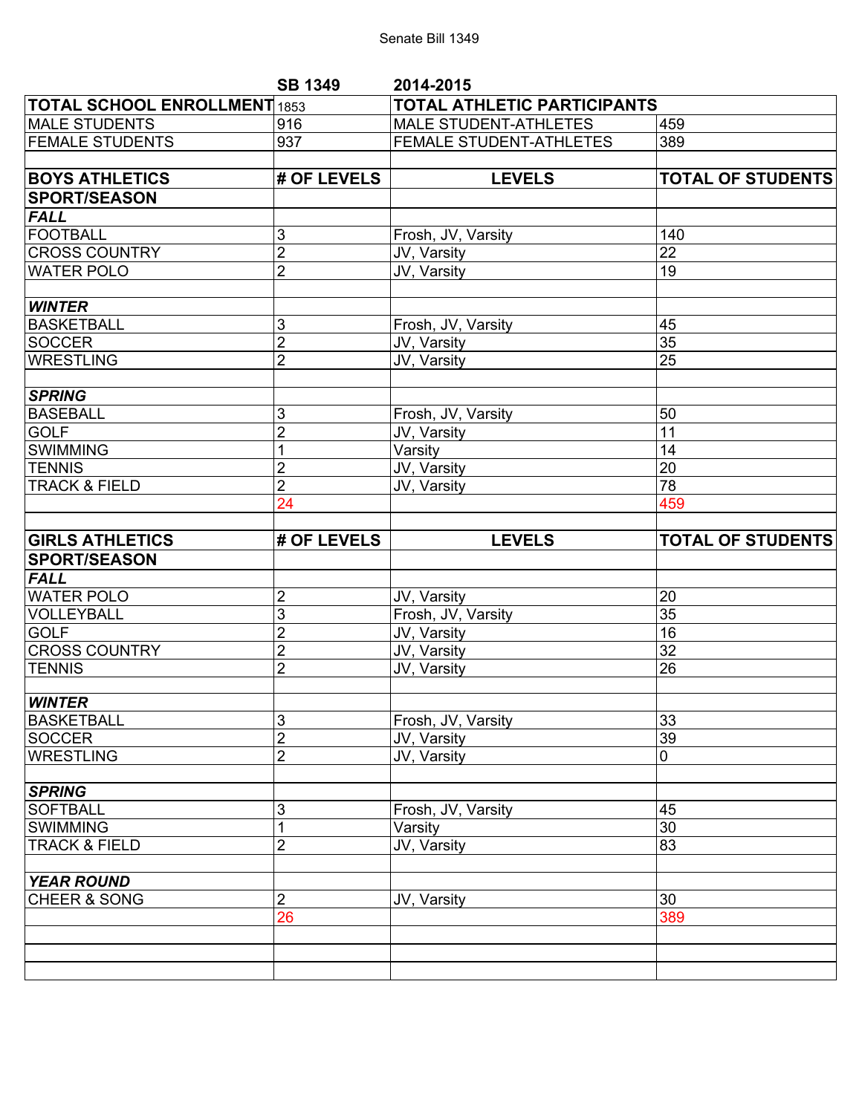## Senate Bill 1349

|                                     | <b>SB 1349</b>                   | 2014-2015                          |                          |  |
|-------------------------------------|----------------------------------|------------------------------------|--------------------------|--|
| <b>TOTAL SCHOOL ENROLLMENT 1853</b> |                                  | <b>TOTAL ATHLETIC PARTICIPANTS</b> |                          |  |
| <b>MALE STUDENTS</b>                | 916                              | <b>MALE STUDENT-ATHLETES</b>       | 459                      |  |
| <b>FEMALE STUDENTS</b>              | 937                              | FEMALE STUDENT-ATHLETES            | 389                      |  |
|                                     |                                  |                                    |                          |  |
| <b>BOYS ATHLETICS</b>               | # OF LEVELS                      | <b>LEVELS</b>                      | <b>TOTAL OF STUDENTS</b> |  |
| <b>SPORT/SEASON</b>                 |                                  |                                    |                          |  |
| <b>FALL</b>                         |                                  |                                    |                          |  |
| <b>FOOTBALL</b>                     | 3                                | Frosh, JV, Varsity                 | 140                      |  |
| <b>CROSS COUNTRY</b>                | $\overline{2}$                   | JV, Varsity                        | 22                       |  |
| <b>WATER POLO</b>                   | $\overline{2}$                   | JV, Varsity                        | 19                       |  |
| <b>WINTER</b>                       |                                  |                                    |                          |  |
| <b>BASKETBALL</b>                   | 3                                | Frosh, JV, Varsity                 | 45                       |  |
| <b>SOCCER</b>                       | $\overline{2}$                   | JV, Varsity                        | 35                       |  |
| <b>WRESTLING</b>                    | $\overline{2}$                   | JV, Varsity                        | 25                       |  |
| <b>SPRING</b>                       |                                  |                                    |                          |  |
| <b>BASEBALL</b>                     | 3                                | Frosh, JV, Varsity                 | 50                       |  |
| <b>GOLF</b>                         | $\overline{2}$                   | JV, Varsity                        | $\overline{11}$          |  |
| <b>SWIMMING</b>                     | 1                                | Varsity                            | 14                       |  |
| <b>TENNIS</b>                       | $\overline{2}$                   | JV, Varsity                        | $\overline{20}$          |  |
| <b>TRACK &amp; FIELD</b>            | $\overline{2}$                   | JV, Varsity                        | 78                       |  |
|                                     | 24                               |                                    | 459                      |  |
|                                     |                                  |                                    |                          |  |
|                                     |                                  |                                    |                          |  |
| <b>GIRLS ATHLETICS</b>              | # OF LEVELS                      | <b>LEVELS</b>                      | <b>TOTAL OF STUDENTS</b> |  |
| <b>SPORT/SEASON</b>                 |                                  |                                    |                          |  |
| <b>FALL</b>                         |                                  |                                    |                          |  |
| <b>WATER POLO</b>                   | $\overline{\mathbf{c}}$          | JV, Varsity                        | 20                       |  |
| VOLLEYBALL                          | 3                                | Frosh, JV, Varsity                 | 35                       |  |
| <b>GOLF</b>                         | $\overline{2}$                   | JV, Varsity                        | 16                       |  |
| <b>CROSS COUNTRY</b>                | $\overline{2}$                   | JV, Varsity                        | 32                       |  |
| <b>TENNIS</b>                       | $\overline{2}$                   | JV, Varsity                        | $\overline{26}$          |  |
|                                     |                                  |                                    |                          |  |
| <b>WINTER</b>                       |                                  |                                    |                          |  |
| <b>BASKETBALL</b>                   | 3                                | Frosh, JV, Varsity                 | 33                       |  |
| <b>SOCCER</b><br><b>WRESTLING</b>   | $\overline{2}$<br>$\overline{c}$ | JV, Varsity<br>JV, Varsity         | $\overline{39}$<br>0     |  |
|                                     |                                  |                                    |                          |  |
| <b>SPRING</b>                       |                                  |                                    |                          |  |
| <b>SOFTBALL</b>                     | 3                                | Frosh, JV, Varsity                 | 45                       |  |
| <b>SWIMMING</b>                     |                                  | Varsity                            | 30                       |  |
| <b>TRACK &amp; FIELD</b>            | 2                                | JV, Varsity                        | 83                       |  |
| <b>YEAR ROUND</b>                   |                                  |                                    |                          |  |
| <b>CHEER &amp; SONG</b>             | $\overline{2}$                   | JV, Varsity                        | 30                       |  |
|                                     | 26                               |                                    | 389                      |  |
|                                     |                                  |                                    |                          |  |
|                                     |                                  |                                    |                          |  |